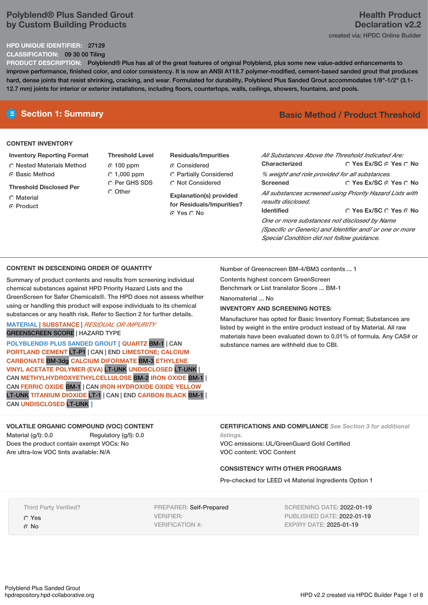## **Polyblend® Plus Sanded Grout by Custom Building Products**

### **HPD UNIQUE IDENTIFIER:** 27129

**CLASSIFICATION:** 09 30 00 Tiling

**PRODUCT DESCRIPTION:** Polyblend® Plus has all of the great features of original Polyblend, plus some new value-added enhancements to improve performance, finished color, and color consistency. It is now an ANSI A118.7 polymer-modified, cement-based sanded grout that produces hard, dense joints that resist shrinking, cracking, and wear. Formulated for durability, Polyblend Plus Sanded Grout accommodates 1/8"-1/2" (3.1- 12.7 mm) joints for interior or exterior installations, including floors, countertops, walls, ceilings, showers, fountains, and pools.

#### **CONTENT INVENTORY**

**Inventory Reporting Format** Nested Materials Method **C** Basic Method

**Threshold Disclosed Per**

- **C** Material
- ⊙ Product

**Threshold Level** 100 ppm  $C$  1,000 ppm O Per GHS SDS Other

**Residuals/Impurities Considered** Partially Considered **C** Not Considered

**Explanation(s) provided for Residuals/Impurities?** Yes No

## **E** Section 1: Summary **Basic** Method **/** Product Threshold

| All Substances Above the Threshold Indicated Are:        |                                        |  |  |  |  |  |
|----------------------------------------------------------|----------------------------------------|--|--|--|--|--|
| Characterized                                            | ∩ Yes Ex/SC ∩ Yes ∩ No                 |  |  |  |  |  |
| % weight and role provided for all substances.           |                                        |  |  |  |  |  |
| <b>Screened</b>                                          | ∩ Yes Ex/SC ∩ Yes ∩ No                 |  |  |  |  |  |
| All substances screened using Priority Hazard Lists with |                                        |  |  |  |  |  |
| results disclosed.                                       |                                        |  |  |  |  |  |
| <b>Identified</b>                                        | $\cap$ Yes Ex/SC $\cap$ Yes $\odot$ No |  |  |  |  |  |
| One or more substances not disclosed by Name             |                                        |  |  |  |  |  |
| (Specific or Generic) and Identifier and/ or one or more |                                        |  |  |  |  |  |
| Special Condition did not follow quidance.               |                                        |  |  |  |  |  |

### **CONTENT IN DESCENDING ORDER OF QUANTITY**

Summary of product contents and results from screening individual chemical substances against HPD Priority Hazard Lists and the GreenScreen for Safer Chemicals®. The HPD does not assess whether using or handling this product will expose individuals to its chemical substances or any health risk. Refer to Section 2 for further details.

#### **MATERIAL** | **SUBSTANCE** | *RESIDUAL OR IMPURITY* GREENSCREEN SCORE | HAZARD TYPE

**POLYBLEND® PLUS SANDED GROUT [ QUARTZ** BM-1 | CAN **PORTLAND CEMENT** LT-P1 | CAN | END **LIMESTONE; CALCIUM CARBONATE** BM-3dg **CALCIUM DIFORMATE** BM-3 **ETHYLENE VINYL ACETATE POLYMER (EVA)** LT-UNK **UNDISCLOSED** LT-UNK | CAN **METHYLHYDROXYETHYLCELLULOSE** BM-2 **IRON OXIDE** BM-1 | CAN **FERRIC OXIDE** BM-1 | CAN **IRON HYDROXIDE OXIDE YELLOW** LT-UNK **TITANIUM DIOXIDE** LT-1 | CAN | END **CARBON BLACK** BM-1 | CAN **UNDISCLOSED** LT-UNK **]**

#### **VOLATILE ORGANIC COMPOUND (VOC) CONTENT** Material (g/l): 0.0 Regulatory (g/l): 0.0 Does the product contain exempt VOCs: No Are ultra-low VOC tints available: N/A

Number of Greenscreen BM-4/BM3 contents ... 1

Contents highest concern GreenScreen Benchmark or List translator Score ... BM-1

Nanomaterial ... No

## **INVENTORY AND SCREENING NOTES:**

Manufacturer has opted for Basic Inventory Format; Substances are listed by weight in the entire product instead of by Material. All raw materials have been evaluated down to 0.01% of formula. Any CAS# or substance names are withheld due to CBI.

**CERTIFICATIONS AND COMPLIANCE** *See Section 3 for additional*

*listings.*

VOC emissions: UL/GreenGuard Gold Certified VOC content: VOC Content

## **CONSISTENCY WITH OTHER PROGRAMS**

Pre-checked for LEED v4 Material Ingredients Option 1

Third Party Verified? Yes © No

PREPARER: Self-Prepared VERIFIER: VERIFICATION #:

SCREENING DATE: 2022-01-19 PUBLISHED DATE: 2022-01-19 EXPIRY DATE: 2025-01-19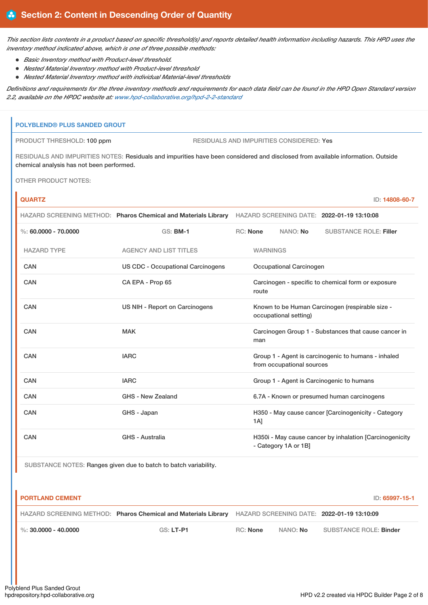This section lists contents in a product based on specific threshold(s) and reports detailed health information including hazards. This HPD uses the *inventory method indicated above, which is one of three possible methods:*

- *Basic Inventory method with Product-level threshold.*
- *Nested Material Inventory method with Product-level threshold*
- *Nested Material Inventory method with individual Material-level thresholds*

Definitions and requirements for the three inventory methods and requirements for each data field can be found in the HPD Open Standard version *2.2, available on the HPDC website at: [www.hpd-collaborative.org/hpd-2-2-standard](https://www.hpd-collaborative.org/hpd-2-2-standard)*

#### **POLYBLEND® PLUS SANDED GROUT**

PRODUCT THRESHOLD: 100 ppm RESIDUALS AND IMPURITIES CONSIDERED: Yes

RESIDUALS AND IMPURITIES NOTES: Residuals and impurities have been considered and disclosed from available information. Outside chemical analysis has not been performed.

OTHER PRODUCT NOTES:

ń

| <b>QUARTZ</b>            |                                          |                                                                                                           |                 |                         |                                                          | ID: 14808-60-7 |
|--------------------------|------------------------------------------|-----------------------------------------------------------------------------------------------------------|-----------------|-------------------------|----------------------------------------------------------|----------------|
|                          |                                          | HAZARD SCREENING METHOD: Pharos Chemical and Materials Library HAZARD SCREENING DATE: 2022-01-19 13:10:08 |                 |                         |                                                          |                |
| $\%$ : 60.0000 - 70.0000 | <b>GS: BM-1</b>                          | RC: None                                                                                                  |                 | NANO: No                | <b>SUBSTANCE ROLE: Filler</b>                            |                |
| <b>HAZARD TYPE</b>       | <b>AGENCY AND LIST TITLES</b>            |                                                                                                           | <b>WARNINGS</b> |                         |                                                          |                |
| CAN                      | <b>US CDC - Occupational Carcinogens</b> |                                                                                                           |                 | Occupational Carcinogen |                                                          |                |
| <b>CAN</b>               | CA EPA - Prop 65                         | Carcinogen - specific to chemical form or exposure<br>route                                               |                 |                         |                                                          |                |
| CAN                      | US NIH - Report on Carcinogens           | Known to be Human Carcinogen (respirable size -<br>occupational setting)                                  |                 |                         |                                                          |                |
| CAN                      | <b>MAK</b>                               | Carcinogen Group 1 - Substances that cause cancer in<br>man                                               |                 |                         |                                                          |                |
| CAN                      | <b>IARC</b>                              | Group 1 - Agent is carcinogenic to humans - inhaled<br>from occupational sources                          |                 |                         |                                                          |                |
| CAN                      | <b>IARC</b>                              | Group 1 - Agent is Carcinogenic to humans                                                                 |                 |                         |                                                          |                |
| CAN                      | GHS - New Zealand                        | 6.7A - Known or presumed human carcinogens                                                                |                 |                         |                                                          |                |
| <b>CAN</b>               | GHS - Japan                              |                                                                                                           | 1A]             |                         | H350 - May cause cancer [Carcinogenicity - Category      |                |
| CAN                      | GHS - Australia                          |                                                                                                           |                 | - Category 1A or 1B]    | H350i - May cause cancer by inhalation [Carcinogenicity] |                |

SUBSTANCE NOTES: Ranges given due to batch to batch variability.

| <b>PORTLAND CEMENT</b> |                                                                |          |          | ID: 65997-15-1                             |
|------------------------|----------------------------------------------------------------|----------|----------|--------------------------------------------|
|                        | HAZARD SCREENING METHOD: Pharos Chemical and Materials Library |          |          | HAZARD SCREENING DATE: 2022-01-19 13:10:09 |
| %: 30,0000 - 40,0000   | $GS: LT-P1$                                                    | RC: None | NANO: No | SUBSTANCE ROLE: Binder                     |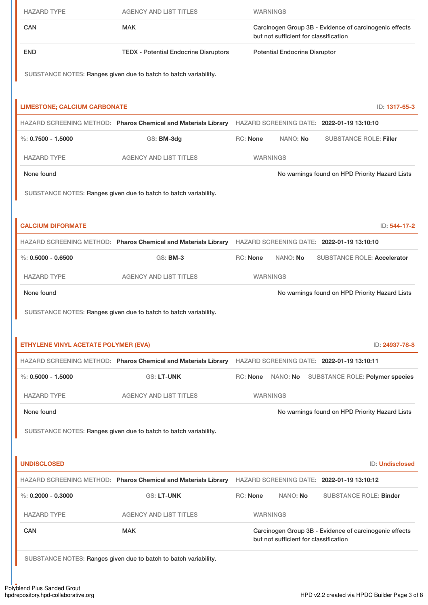| <b>HAZARD TYPE</b>                   | <b>AGENCY AND LIST TITLES</b>                                                                             |                                                                                                 | <b>WARNINGS</b>   |                                                        |                 |
|--------------------------------------|-----------------------------------------------------------------------------------------------------------|-------------------------------------------------------------------------------------------------|-------------------|--------------------------------------------------------|-----------------|
| <b>CAN</b>                           | <b>MAK</b>                                                                                                | Carcinogen Group 3B - Evidence of carcinogenic effects<br>but not sufficient for classification |                   |                                                        |                 |
| <b>END</b>                           | <b>TEDX - Potential Endocrine Disruptors</b>                                                              | <b>Potential Endocrine Disruptor</b>                                                            |                   |                                                        |                 |
|                                      | SUBSTANCE NOTES: Ranges given due to batch to batch variability.                                          |                                                                                                 |                   |                                                        |                 |
| <b>LIMESTONE; CALCIUM CARBONATE</b>  |                                                                                                           |                                                                                                 |                   |                                                        | ID: 1317-65-3   |
|                                      | HAZARD SCREENING METHOD: Pharos Chemical and Materials Library HAZARD SCREENING DATE: 2022-01-19 13:10:10 |                                                                                                 |                   |                                                        |                 |
| $\%: 0.7500 - 1.5000$                | GS: BM-3dg                                                                                                | <b>RC: None</b>                                                                                 | NANO: No          | <b>SUBSTANCE ROLE: Filler</b>                          |                 |
| <b>HAZARD TYPE</b>                   | <b>AGENCY AND LIST TITLES</b>                                                                             |                                                                                                 | <b>WARNINGS</b>   |                                                        |                 |
| None found                           |                                                                                                           |                                                                                                 |                   | No warnings found on HPD Priority Hazard Lists         |                 |
|                                      | SUBSTANCE NOTES: Ranges given due to batch to batch variability.                                          |                                                                                                 |                   |                                                        |                 |
| <b>CALCIUM DIFORMATE</b>             |                                                                                                           |                                                                                                 |                   |                                                        | ID: 544-17-2    |
|                                      | HAZARD SCREENING METHOD: Pharos Chemical and Materials Library HAZARD SCREENING DATE: 2022-01-19 13:10:10 |                                                                                                 |                   |                                                        |                 |
| $\%: 0.5000 - 0.6500$                | <b>GS: BM-3</b>                                                                                           | RC: None                                                                                        | NANO: No          | <b>SUBSTANCE ROLE: Accelerator</b>                     |                 |
| <b>HAZARD TYPE</b>                   | <b>AGENCY AND LIST TITLES</b>                                                                             |                                                                                                 | <b>WARNINGS</b>   |                                                        |                 |
| None found                           |                                                                                                           |                                                                                                 |                   | No warnings found on HPD Priority Hazard Lists         |                 |
|                                      | SUBSTANCE NOTES: Ranges given due to batch to batch variability.                                          |                                                                                                 |                   |                                                        |                 |
| ETHYLENE VINYL ACETATE POLYMER (EVA) |                                                                                                           |                                                                                                 |                   |                                                        | ID: 24937-78-8  |
|                                      | HAZARD SCREENING METHOD: Pharos Chemical and Materials Library HAZARD SCREENING DATE: 2022-01-19 13:10:11 |                                                                                                 |                   |                                                        |                 |
| $\%: 0.5000 - 1.5000$                | <b>GS: LT-UNK</b>                                                                                         |                                                                                                 | RC: None NANO: No | <b>SUBSTANCE ROLE: Polymer species</b>                 |                 |
| <b>HAZARD TYPE</b>                   | <b>AGENCY AND LIST TITLES</b>                                                                             |                                                                                                 | <b>WARNINGS</b>   |                                                        |                 |
| None found                           |                                                                                                           |                                                                                                 |                   | No warnings found on HPD Priority Hazard Lists         |                 |
|                                      | SUBSTANCE NOTES: Ranges given due to batch to batch variability.                                          |                                                                                                 |                   |                                                        |                 |
|                                      |                                                                                                           |                                                                                                 |                   |                                                        |                 |
|                                      |                                                                                                           |                                                                                                 |                   |                                                        |                 |
| <b>UNDISCLOSED</b>                   |                                                                                                           |                                                                                                 |                   |                                                        | ID: Undisclosed |
|                                      | HAZARD SCREENING METHOD: Pharos Chemical and Materials Library HAZARD SCREENING DATE: 2022-01-19 13:10:12 |                                                                                                 |                   |                                                        |                 |
| %: $0.2000 - 0.3000$                 | <b>GS: LT-UNK</b>                                                                                         | RC: None                                                                                        | NANO: No          | <b>SUBSTANCE ROLE: Binder</b>                          |                 |
| <b>HAZARD TYPE</b><br><b>CAN</b>     | <b>AGENCY AND LIST TITLES</b><br><b>MAK</b>                                                               |                                                                                                 | <b>WARNINGS</b>   | Carcinogen Group 3B - Evidence of carcinogenic effects |                 |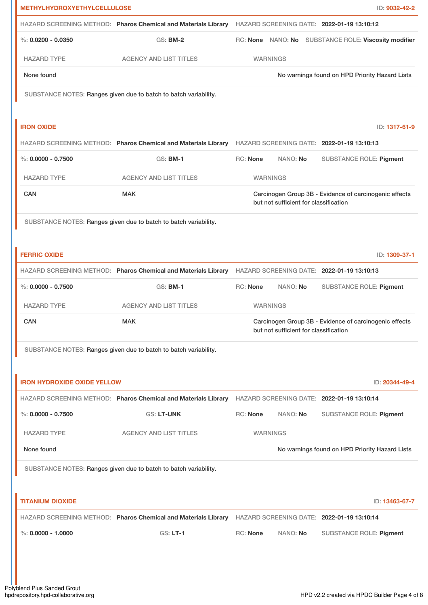| <b>METHYLHYDROXYETHYLCELLULOSE</b> |                                                                                                           |                                                                                                 |                                       | ID: 9032-42-2                                          |
|------------------------------------|-----------------------------------------------------------------------------------------------------------|-------------------------------------------------------------------------------------------------|---------------------------------------|--------------------------------------------------------|
|                                    | HAZARD SCREENING METHOD: Pharos Chemical and Materials Library HAZARD SCREENING DATE: 2022-01-19 13:10:12 |                                                                                                 |                                       |                                                        |
| %: $0.0200 - 0.0350$               | <b>GS: BM-2</b>                                                                                           |                                                                                                 |                                       | RC: None NANO: No SUBSTANCE ROLE: Viscosity modifier   |
| <b>HAZARD TYPE</b>                 | <b>AGENCY AND LIST TITLES</b>                                                                             |                                                                                                 | <b>WARNINGS</b>                       |                                                        |
| None found                         |                                                                                                           |                                                                                                 |                                       | No warnings found on HPD Priority Hazard Lists         |
|                                    | SUBSTANCE NOTES: Ranges given due to batch to batch variability.                                          |                                                                                                 |                                       |                                                        |
|                                    |                                                                                                           |                                                                                                 |                                       |                                                        |
| <b>IRON OXIDE</b>                  |                                                                                                           |                                                                                                 |                                       | ID: 1317-61-9                                          |
|                                    | HAZARD SCREENING METHOD: Pharos Chemical and Materials Library HAZARD SCREENING DATE: 2022-01-19 13:10:13 |                                                                                                 |                                       |                                                        |
| %: $0.0000 - 0.7500$               | <b>GS: BM-1</b>                                                                                           | <b>RC: None</b>                                                                                 | NANO: No                              | <b>SUBSTANCE ROLE: Pigment</b>                         |
| <b>HAZARD TYPE</b>                 | <b>AGENCY AND LIST TITLES</b>                                                                             |                                                                                                 | <b>WARNINGS</b>                       |                                                        |
| <b>CAN</b>                         | <b>MAK</b>                                                                                                |                                                                                                 | but not sufficient for classification | Carcinogen Group 3B - Evidence of carcinogenic effects |
|                                    | SUBSTANCE NOTES: Ranges given due to batch to batch variability.                                          |                                                                                                 |                                       |                                                        |
|                                    |                                                                                                           |                                                                                                 |                                       |                                                        |
| <b>FERRIC OXIDE</b>                |                                                                                                           |                                                                                                 |                                       | ID: 1309-37-1                                          |
|                                    | HAZARD SCREENING METHOD: Pharos Chemical and Materials Library HAZARD SCREENING DATE: 2022-01-19 13:10:13 |                                                                                                 |                                       |                                                        |
| $\%$ : 0.0000 - 0.7500             | <b>GS: BM-1</b>                                                                                           | RC: None                                                                                        | NANO: No                              | <b>SUBSTANCE ROLE: Pigment</b>                         |
| <b>HAZARD TYPE</b>                 | <b>AGENCY AND LIST TITLES</b>                                                                             |                                                                                                 | <b>WARNINGS</b>                       |                                                        |
| CAN                                | <b>MAK</b>                                                                                                | Carcinogen Group 3B - Evidence of carcinogenic effects<br>but not sufficient for classification |                                       |                                                        |
|                                    | SUBSTANCE NOTES: Ranges given due to batch to batch variability.                                          |                                                                                                 |                                       |                                                        |
|                                    |                                                                                                           |                                                                                                 |                                       |                                                        |
| <b>IRON HYDROXIDE OXIDE YELLOW</b> |                                                                                                           |                                                                                                 |                                       | ID: 20344-49-4                                         |
|                                    | HAZARD SCREENING METHOD: Pharos Chemical and Materials Library HAZARD SCREENING DATE: 2022-01-19 13:10:14 |                                                                                                 |                                       |                                                        |
| $\%$ : 0.0000 - 0.7500             | <b>GS: LT-UNK</b>                                                                                         | RC: None                                                                                        | NANO: No                              | <b>SUBSTANCE ROLE: Pigment</b>                         |
| <b>HAZARD TYPE</b>                 | <b>AGENCY AND LIST TITLES</b>                                                                             |                                                                                                 | <b>WARNINGS</b>                       |                                                        |
| None found                         |                                                                                                           |                                                                                                 |                                       | No warnings found on HPD Priority Hazard Lists         |
|                                    | SUBSTANCE NOTES: Ranges given due to batch to batch variability.                                          |                                                                                                 |                                       |                                                        |
|                                    |                                                                                                           |                                                                                                 |                                       |                                                        |
| <b>TITANIUM DIOXIDE</b>            |                                                                                                           |                                                                                                 |                                       | ID: 13463-67-7                                         |
|                                    | HAZARD SCREENING METHOD: Pharos Chemical and Materials Library HAZARD SCREENING DATE: 2022-01-19 13:10:14 |                                                                                                 |                                       |                                                        |
| $\%$ : 0.0000 - 1.0000             | <b>GS: LT-1</b>                                                                                           | RC: None                                                                                        | NANO: No                              | <b>SUBSTANCE ROLE: Pigment</b>                         |
|                                    |                                                                                                           |                                                                                                 |                                       |                                                        |
|                                    |                                                                                                           |                                                                                                 |                                       |                                                        |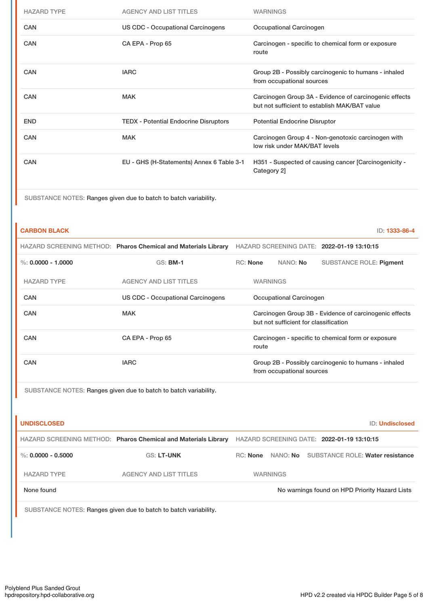| <b>HAZARD TYPE</b> | <b>AGENCY AND LIST TITLES</b>                | <b>WARNINGS</b>                                                                                         |
|--------------------|----------------------------------------------|---------------------------------------------------------------------------------------------------------|
| <b>CAN</b>         | <b>US CDC - Occupational Carcinogens</b>     | Occupational Carcinogen                                                                                 |
| <b>CAN</b>         | CA EPA - Prop 65                             | Carcinogen - specific to chemical form or exposure<br>route                                             |
| <b>CAN</b>         | <b>IARC</b>                                  | Group 2B - Possibly carcinogenic to humans - inhaled<br>from occupational sources                       |
| <b>CAN</b>         | <b>MAK</b>                                   | Carcinogen Group 3A - Evidence of carcinogenic effects<br>but not sufficient to establish MAK/BAT value |
| <b>END</b>         | <b>TEDX - Potential Endocrine Disruptors</b> | <b>Potential Endocrine Disruptor</b>                                                                    |
| <b>CAN</b>         | <b>MAK</b>                                   | Carcinogen Group 4 - Non-genotoxic carcinogen with<br>low risk under MAK/BAT levels                     |
| <b>CAN</b>         | EU - GHS (H-Statements) Annex 6 Table 3-1    | H351 - Suspected of causing cancer [Carcinogenicity -<br>Category 2]                                    |

SUBSTANCE NOTES: Ranges given due to batch to batch variability.

#### **CARBON BLACK** ID: **1333-86-4**

|            |                      | HAZARD SCREENING METHOD: Pharos Chemical and Materials Library | HAZARD SCREENING DATE: 2022-01-19 13:10:15                                                      |  |                 |                                                      |
|------------|----------------------|----------------------------------------------------------------|-------------------------------------------------------------------------------------------------|--|-----------------|------------------------------------------------------|
|            | %: $0.0000 - 1.0000$ | <b>GS: BM-1</b>                                                | RC: None                                                                                        |  | NANO: <b>No</b> | SUBSTANCE ROLE: Pigment                              |
|            | <b>HAZARD TYPE</b>   | <b>AGENCY AND LIST TITLES</b>                                  | <b>WARNINGS</b>                                                                                 |  |                 |                                                      |
| <b>CAN</b> |                      | US CDC - Occupational Carcinogens                              | Occupational Carcinogen                                                                         |  |                 |                                                      |
| CAN        |                      | <b>MAK</b>                                                     | Carcinogen Group 3B - Evidence of carcinogenic effects<br>but not sufficient for classification |  |                 |                                                      |
| <b>CAN</b> |                      | CA EPA - Prop 65                                               | Carcinogen - specific to chemical form or exposure<br>route                                     |  |                 |                                                      |
| <b>CAN</b> |                      | <b>IARC</b>                                                    | from occupational sources                                                                       |  |                 | Group 2B - Possibly carcinogenic to humans - inhaled |
|            |                      |                                                                |                                                                                                 |  |                 |                                                      |

SUBSTANCE NOTES: Ranges given due to batch to batch variability.

| <b>UNDISCLOSED</b>   |                                                                |          |                                            |  | ID: Undisclosed                                |  |
|----------------------|----------------------------------------------------------------|----------|--------------------------------------------|--|------------------------------------------------|--|
|                      | HAZARD SCREENING METHOD: Pharos Chemical and Materials Library |          | HAZARD SCREENING DATE: 2022-01-19 13:10:15 |  |                                                |  |
| %: $0.0000 - 0.5000$ | <b>GS: LT-UNK</b>                                              | RC: None | NANO: No SUBSTANCE ROLE: Water resistance  |  |                                                |  |
| <b>HAZARD TYPE</b>   | <b>AGENCY AND LIST TITLES</b>                                  |          | <b>WARNINGS</b>                            |  |                                                |  |
| None found           |                                                                |          |                                            |  | No warnings found on HPD Priority Hazard Lists |  |
|                      |                                                                |          |                                            |  |                                                |  |

SUBSTANCE NOTES: Ranges given due to batch to batch variability.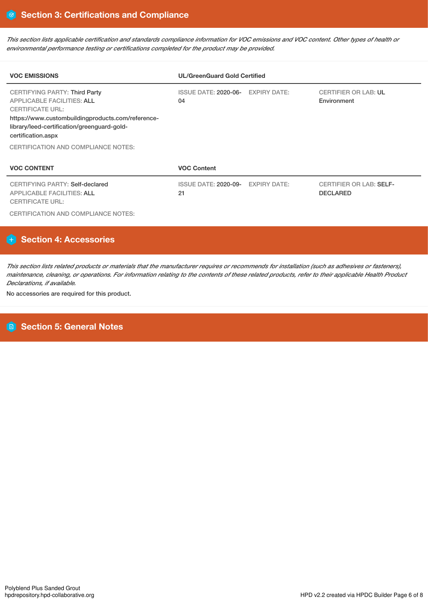This section lists applicable certification and standards compliance information for VOC emissions and VOC content. Other types of health or *environmental performance testing or certifications completed for the product may be provided.*

| <b>VOC EMISSIONS</b>                                                                                                                                                                                                           | <b>UL/GreenGuard Gold Certified</b> |                     |                                                   |  |  |  |
|--------------------------------------------------------------------------------------------------------------------------------------------------------------------------------------------------------------------------------|-------------------------------------|---------------------|---------------------------------------------------|--|--|--|
| <b>CERTIFYING PARTY: Third Party</b><br><b>APPLICABLE FACILITIES: ALL</b><br><b>CERTIFICATE URL:</b><br>https://www.custombuildingproducts.com/reference-<br>library/leed-certification/greenguard-gold-<br>certification.aspx | ISSUE DATE: 2020-06-<br>04          | <b>EXPIRY DATE:</b> | <b>CERTIFIER OR LAB: UL</b><br>Environment        |  |  |  |
| CERTIFICATION AND COMPLIANCE NOTES:                                                                                                                                                                                            |                                     |                     |                                                   |  |  |  |
| <b>VOC CONTENT</b>                                                                                                                                                                                                             | <b>VOC Content</b>                  |                     |                                                   |  |  |  |
| <b>CERTIFYING PARTY: Self-declared</b><br><b>APPLICABLE FACILITIES: ALL</b><br><b>CERTIFICATE URL:</b>                                                                                                                         | ISSUE DATE: 2020-09-<br>21          | <b>EXPIRY DATE:</b> | <b>CERTIFIER OR LAB: SELF-</b><br><b>DECLARED</b> |  |  |  |

CERTIFICATION AND COMPLIANCE NOTES:

# **Section 4: Accessories**

This section lists related products or materials that the manufacturer requires or recommends for installation (such as adhesives or fasteners), maintenance, cleaning, or operations. For information relating to the contents of these related products, refer to their applicable Health Product *Declarations, if available.*

No accessories are required for this product.

# **Section 5: General Notes**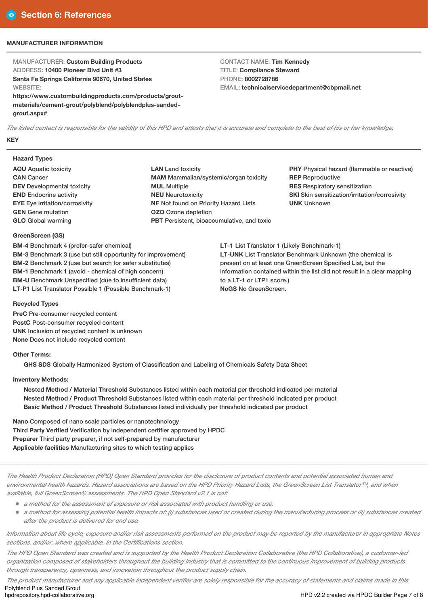#### **MANUFACTURER INFORMATION**

MANUFACTURER: **Custom Building Products** ADDRESS: **10400 Pioneer Blvd Unit #3 Santa Fe Springs California 90670, United States WEBSITE: https://www.custombuildingproducts.com/products/grout-**

**materials/cement-grout/polyblend/polyblendplus-sandedgrout.aspx#**

CONTACT NAME: **Tim Kennedy** TITLE: **Compliance Steward** PHONE: **8002728786** EMAIL: **technicalservicedepartment@cbpmail.net**

The listed contact is responsible for the validity of this HPD and attests that it is accurate and complete to the best of his or her knowledge. **KEY**

#### **Hazard Types**

- **AQU** Aquatic toxicity **CAN** Cancer **DEV** Developmental toxicity **END** Endocrine activity **EYE** Eye irritation/corrosivity **GEN** Gene mutation **GLO** Global warming
- **LAN** Land toxicity **MAM** Mammalian/systemic/organ toxicity **MUL** Multiple **NEU** Neurotoxicity **NF** Not found on Priority Hazard Lists **OZO** Ozone depletion **PBT** Persistent, bioaccumulative, and toxic

**PHY** Physical hazard (flammable or reactive) **REP** Reproductive **RES** Respiratory sensitization **SKI** Skin sensitization/irritation/corrosivity **UNK** Unknown

**LT-1** List Translator 1 (Likely Benchmark-1) **LT-UNK** List Translator Benchmark Unknown (the chemical is present on at least one GreenScreen Specified List, but the information contained within the list did not result in a clear mapping to a LT-1 or LTP1 score.) **NoGS** No GreenScreen.

## **GreenScreen (GS) BM-4** Benchmark 4 (prefer-safer chemical)

**BM-3** Benchmark 3 (use but still opportunity for improvement) **BM-2** Benchmark 2 (use but search for safer substitutes) **BM-1** Benchmark 1 (avoid - chemical of high concern) **BM-U** Benchmark Unspecified (due to insufficient data) **LT-P1** List Translator Possible 1 (Possible Benchmark-1)

#### **Recycled Types**

**PreC** Pre-consumer recycled content **PostC** Post-consumer recycled content **UNK** Inclusion of recycled content is unknown **None** Does not include recycled content

#### **Other Terms:**

**GHS SDS** Globally Harmonized System of Classification and Labeling of Chemicals Safety Data Sheet

#### **Inventory Methods:**

**Nested Method / Material Threshold** Substances listed within each material per threshold indicated per material **Nested Method / Product Threshold** Substances listed within each material per threshold indicated per product **Basic Method / Product Threshold** Substances listed individually per threshold indicated per product

**Nano** Composed of nano scale particles or nanotechnology **Third Party Verified** Verification by independent certifier approved by HPDC **Preparer** Third party preparer, if not self-prepared by manufacturer **Applicable facilities** Manufacturing sites to which testing applies

The Health Product Declaration (HPD) Open Standard provides for the disclosure of product contents and potential associated human and environmental health hazards. Hazard associations are based on the HPD Priority Hazard Lists, the GreenScreen List Translator™, and when *available, full GreenScreen® assessments. The HPD Open Standard v2.1 is not:*

- *<sup>a</sup> method for the assessment of exposure or risk associated with product handling or use,*
- If a method for assessing potential health impacts of: (i) substances used or created during the manufacturing process or (ii) substances created *after the product is delivered for end use.*

Information about life cycle, exposure and/or risk assessments performed on the product may be reported by the manufacturer in appropriate Notes *sections, and/or, where applicable, in the Certifications section.*

The HPD Open Standard was created and is supported by the Health Product Declaration Collaborative (the HPD Collaborative), a customer-led organization composed of stakeholders throughout the building industry that is committed to the continuous improvement of building products *through transparency, openness, and innovation throughout the product supply chain.*

The product manufacturer and any applicable independent verifier are solely responsible for the accuracy of statements and claims made in this Polyblend Plus Sanded Grout<br>hpdrepository.hpd-collaborative.org